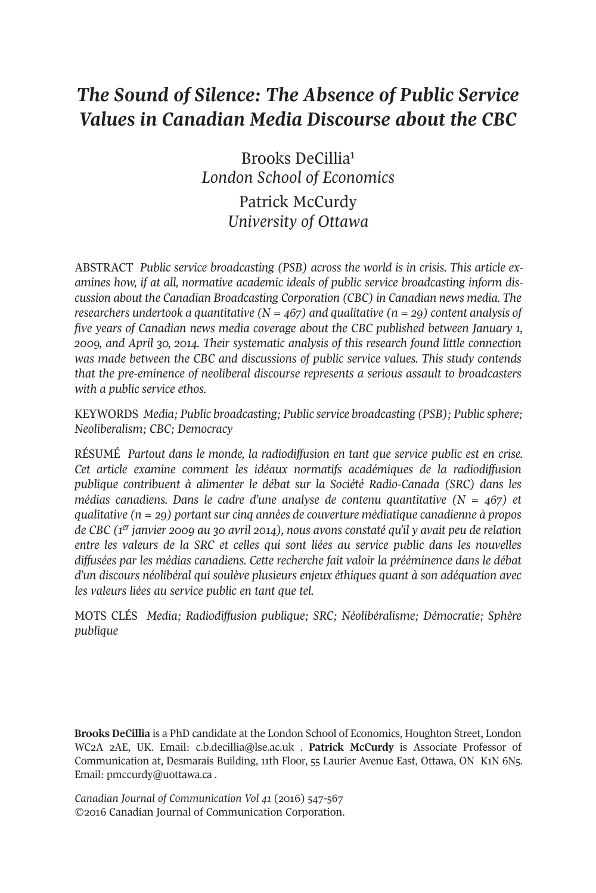# *The Sound of Silence: The Absence of Public Service Values in Canadian Media Discourse about the CBC*

Brooks DeCilli[a1](#page-14-0) *London School of Economics*

> Patrick McCurdy *University of Ottawa*

ABstrACt *Public service broadcasting (PSB) across the world is in crisis. This article examines how, if at all, normative academic ideals of public service broadcasting inform discussion about the Canadian Broadcasting Corporation (CBC) in Canadian news media. The researchers undertook a quantitative (N = 467) and qualitative (n = 29) content analysis of five years of Canadian news media coverage about the CBC published between January 1, 2009, and April 30, 2014. Their systematic analysis of this research found little connection was made between the CBC and discussions of public service values. This study contends that the pre-eminence of neoliberal discourse represents a serious assault to broadcasters with a public service ethos.*

KEYWOrDs *Media; Public broadcasting; Public service broadcasting (PSB); Public sphere; Neoliberalism; CBC; Democracy*

rÉsUMÉ *Partout dans le monde, la radiodiffusion en tant que service public est en crise. Cet article examine comment les idéaux normatifs académiques de la radiodiffusion publique contribuent à alimenter le débat sur la Société Radio-Canada (SRC) dans les médias canadiens. Dans le cadre d'une analyse de contenu quantitative (N = 467) et qualitative (n = 29) portant sur cinq années de couverture médiatique canadienne à propos de CBC (1er janvier 2009 au 30 avril 2014), nous avons constaté qu'il y avait peu de relation entre les valeurs de la SRC et celles qui sont liées au service public dans les nouvelles diffusées par les médias canadiens. Cette recherche fait valoir la prééminence dans le débat d'un discours néolibéral qui soulève plusieurs enjeux éthiques quant à son adéquation avec les valeurs liées au service public en tant que tel.*

MOts CLÉs *Media; Radiodiffusion publique; SRC; Néolibéralisme; Démocratie; Sphère publique*

**Brooks DeCillia** is a PhD candidate at the London school of Economics, Houghton street, London WC2A 2AE, UK. Email: [c.b.decillia@lse.ac.uk](mailto:c.b.decillia@lse.ac.uk) . **Patrick McCurdy** is Associate Professor of Communication at, Desmarais Building, 11th Floor, 55 Laurier Avenue East, Ottawa, ON K1N 6N5. Email: [pmccurdy@uottawa.ca](mailto:pmccurdy@uottawa.ca) .

*Canadian Journal of [Communication](http://www.cjc-online.ca/index.php/journal/article/view/3085/3267) Vol 41* (2016) 547-567 ©2016 Canadian Journal of Communication Corporation.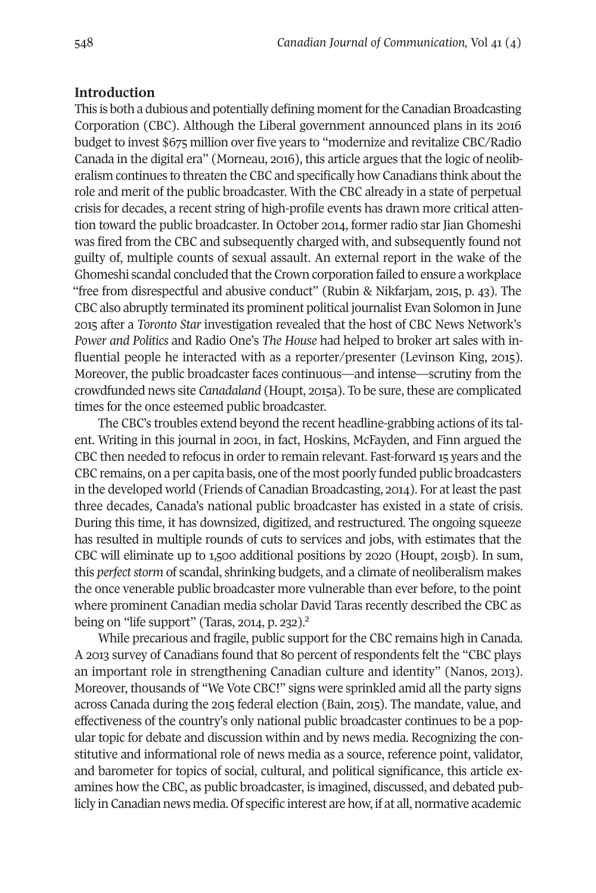### **Introduction**

This is both a dubious and potentially defining moment for the Canadian Broadcasting Corporation (CBC). Although the Liberal government announced plans in its 2016 budget to invest \$675 million over five years to "modernize and revitalize CBC/radio Canada in the digital era" (Morneau, 2016), this article argues that the logic of neoliberalism continues to threaten the CBC and specifically how Canadians think about the role and merit of the public broadcaster. With the CBC already in a state of perpetual crisis for decades, a recent string of high-profile events has drawn more critical attention toward the public broadcaster. In October 2014, former radio star Jian Ghomeshi was fired from the CBC and subsequently charged with, and subsequently found not guilty of, multiple counts of sexual assault. An external report in the wake of the Ghomeshi scandal concluded that the Crown corporation failed to ensure a workplace "free from disrespectful and abusive conduct" (Rubin & Nikfarjam, 2015, p. 43). The CBC also abruptly terminated its prominent political journalist Evan solomon in June 2015 after a *Toronto Star* investigation revealed that the host of CBC News Network's *Power and Politics* and Radio One's *The House* had helped to broker art sales with influential people he interacted with as a reporter/presenter (Levinson King, 2015). Moreover, the public broadcaster faces continuous—and intense—scrutiny from the crowdfunded news site *Canadaland* (Houpt, 2015a). to be sure, these are complicated times for the once esteemed public broadcaster.

The CBC's troubles extend beyond the recent headline-grabbing actions of its talent. Writing in this journal in 2001, in fact, Hoskins, McFayden, and Finn argued the CBC then needed to refocus in orderto remain relevant. Fast-forward 15 years and the CBC remains, on a per capita basis, one of the most poorly funded public broadcasters in the developed world (Friends of Canadian Broadcasting, 2014). For at least the past three decades, Canada's national public broadcaster has existed in a state of crisis. During this time, it has downsized, digitized, and restructured. the ongoing squeeze has resulted in multiple rounds of cuts to services and jobs, with estimates that the CBC will eliminate up to 1,500 additional positions by 2020 (Houpt, 2015b). In sum, this *perfect storm* of scandal, shrinking budgets, and a climate of neoliberalism makes the once venerable public broadcaster more vulnerable than ever before, to the point where prominent Canadian media scholar [Da](#page-14-1)vid taras recently described the CBC as being on "life support" (Taras, 2014, p. 232).<sup>2</sup>

While precarious and fragile, public support for the CBC remains high in Canada. A 2013 survey of Canadians found that 80 percent of respondents felt the "CBC plays an important role in strengthening Canadian culture and identity" (Nanos, 2013). Moreover, thousands of "We Vote CBC!" signs were sprinkled amid all the party signs across Canada during the 2015 federal election (Bain, 2015). the mandate, value, and effectiveness of the country's only national public broadcaster continues to be a popular topic for debate and discussion within and by news media. Recognizing the constitutive and informational role of news media as a source, reference point, validator, and barometer for topics of social, cultural, and political significance, this article examines how the CBC, as public broadcaster, is imagined, discussed, and debated publicly in Canadian news media. Of specific interest are how, if at all, normative academic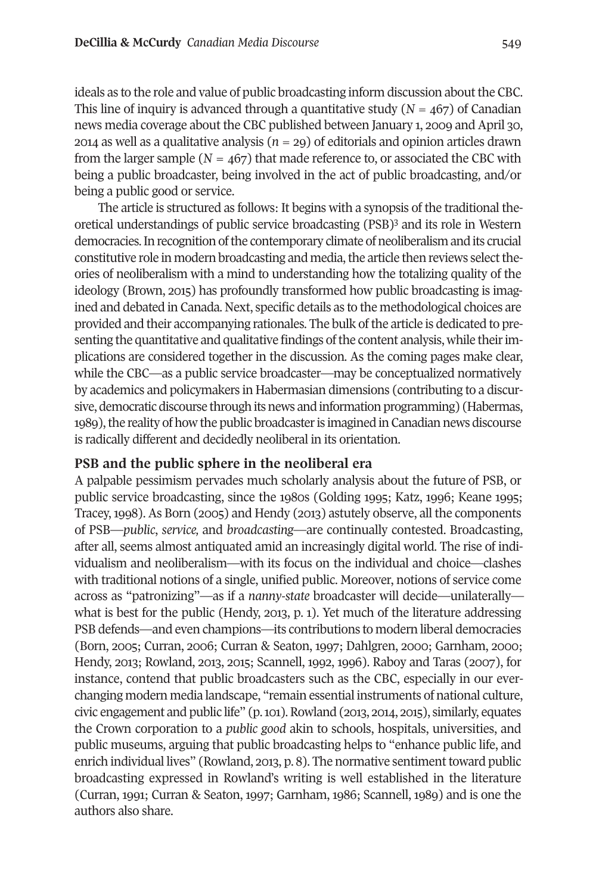ideals as to the role and value of public broadcasting inform discussion about the CBC. This line of inquiry is advanced through a quantitative study  $(N = 467)$  of Canadian news media coverage about the CBC published between January 1, 2009 and April 30, 2014 as well as a qualitative analysis (*n =* 29) of editorials and opinion articles drawn from the larger sample ( $N = 467$ ) that made reference to, or associated the CBC with being a public broadcaster, being involved in the act of public broadcasting, and/or being a public good or service.

the article is structured as follows: It begins with a syno[ps](#page-14-2)is of the traditional theoretical understandings of public service broadcasting (PsB)3 and its role in Western democracies.In recognition ofthe contemporary climate of neoliberalism and its crucial constitutive role in modern broadcasting and media, the article then reviews select theories of neoliberalism with a mind to understanding how the totalizing quality of the ideology (Brown, 2015) has profoundly transformed how public broadcasting is imagined and debated in Canada. Next, specific details as to the methodological choices are provided and their accompanying rationales. the bulk ofthe article is dedicated to presenting the quantitative and qualitative findings of the content analysis, while their implications are considered together in the discussion. As the coming pages make clear, while the CBC—as a public service broadcaster—may be conceptualized normatively by academics and policymakers in Habermasian dimensions (contributing to a discursive, democratic discourse through its news and information programming) (Habermas, 1989), the reality of how the public broadcaster is imagined in Canadian news discourse is radically different and decidedly neoliberal in its orientation.

#### **PSB and the public sphere in the neoliberal era**

A palpable pessimism pervades much scholarly analysis about the future of PsB, or public service broadcasting, since the 1980s (Golding 1995; Katz, 1996; Keane 1995; tracey,1998). As Born (2005) and Hendy (2013) astutely observe, all the components of PsB—*public*, *service,* and *broadcasting*—are continually contested. Broadcasting, after all, seems almost antiquated amid an increasingly digital world. the rise of individualism and neoliberalism—with its focus on the individual and choice—clashes with traditional notions of a single, unified public. Moreover, notions of service come across as "patronizing"—as if a *nanny-state* broadcaster will decide—unilaterally what is best for the public (Hendy, 2013, p. 1). Yet much of the literature addressing PsB defends—and even champions—its contributions to modern liberal democracies (Born, 2005; Curran, 2006; Curran & seaton, 1997; Dahlgren, 2000; Garnham, 2000; Hendy, 2013; Rowland, 2013, 2015; Scannell, 1992, 1996). Raboy and Taras (2007), for instance, contend that public broadcasters such as the CBC, especially in our everchanging modern media landscape, "remain essential instruments of national culture, civic engagement and public life"  $(p, 101)$ . Rowland  $(2013, 2014, 2015)$ , similarly, equates the Crown corporation to a *public good* akin to schools, hospitals, universities, and public museums, arguing that public broadcasting helps to "enhance public life, and enrich individual lives" (Rowland, 2013, p. 8). The normative sentiment toward public broadcasting expressed in rowland's writing is well established in the literature (Curran, 1991; Curran & seaton, 1997; Garnham, 1986; scannell, 1989) and is one the authors also share.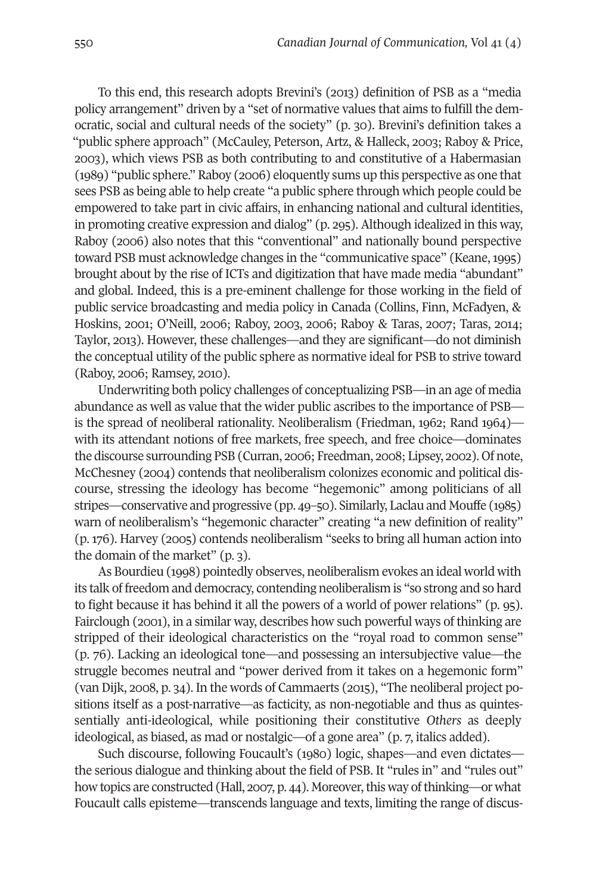to this end, this research adopts Brevini's (2013) definition of PsB as a "media policy arrangement" driven by a "set of normative values that aims to fulfill the democratic, social and cultural needs of the society" (p. 30). Brevini's definition takes a "public sphere approach" (McCauley, Peterson, Artz, & Halleck, 2003; Raboy & Price, 2003), which views PsB as both contributing to and constitutive of a Habermasian (1989) "public sphere." Raboy (2006) eloquently sums up this perspective as one that sees PsB as being able to help create "a public sphere through which people could be empowered to take part in civic affairs, in enhancing national and cultural identities, in promoting creative expression and dialog" (p. 295). Although idealized in this way, raboy (2006) also notes that this "conventional" and nationally bound perspective toward PsB must acknowledge changes in the "communicative space" (Keane, 1995) brought about by the rise of ICTs and digitization that have made media "abundant" and global. Indeed, this is a pre-eminent challenge for those working in the field of public service broadcasting and media policy in Canada (Collins, Finn, McFadyen, & Hoskins, 2001; O'Neill, 2006; Raboy, 2003, 2006; Raboy & Taras, 2007; Taras, 2014; taylor, 2013). However, these challenges—and they are significant—do not diminish the conceptual utility of the public sphere as normative ideal for PsB to strive toward (Raboy, 2006; Ramsey, 2010).

Underwriting both policy challenges of conceptualizing PsB—in an age of media abundance as well as value that the wider public ascribes to the importance of PsB is the spread of neoliberal rationality. Neoliberalism (Friedman, 1962; Rand 1964) with its attendant notions of free markets, free speech, and free choice—dominates the discourse surrounding PsB (Curran, 2006; Freedman, 2008; Lipsey, 2002). Of note, McChesney (2004) contends that neoliberalism colonizes economic and political discourse, stressing the ideology has become "hegemonic" among politicians of all stripes—conservative and progressive (pp. 49–50). similarly, Laclau and Mouffe (1985) warn of neoliberalism's "hegemonic character" creating "a new definition of reality" (p. 176). Harvey (2005) contends neoliberalism "seeks to bring all human action into the domain of the market" (p. 3).

As Bourdieu (1998) pointedly observes, neoliberalism evokes an ideal world with its talk of freedom and democracy, contending neoliberalism is "so strong and so hard to fight because it has behind it all the powers of a world of power relations" (p. 95). Fairclough (2001), in a similar way, describes how such powerful ways of thinking are stripped of their ideological characteristics on the "royal road to common sense" (p. 76). Lacking an ideological tone—and possessing an intersubjective value—the struggle becomes neutral and "power derived from it takes on a hegemonic form" (van Dijk, 2008, p. 34). In the words of Cammaerts (2015), "The neoliberal project positions itself as a post-narrative—as facticity, as non-negotiable and thus as quintessentially anti-ideological, while positioning their constitutive *Others* as deeply ideological, as biased, as mad or nostalgic—of a gone area" (p. 7, italics added).

such discourse, following Foucault's (1980) logic, shapes—and even dictates the serious dialogue and thinking about the field of PsB. It "rules in" and "rules out" how topics are constructed (Hall, 2007, p. 44). Moreover, this way of thinking—or what Foucault calls episteme—transcends language and texts, limiting the range of discus-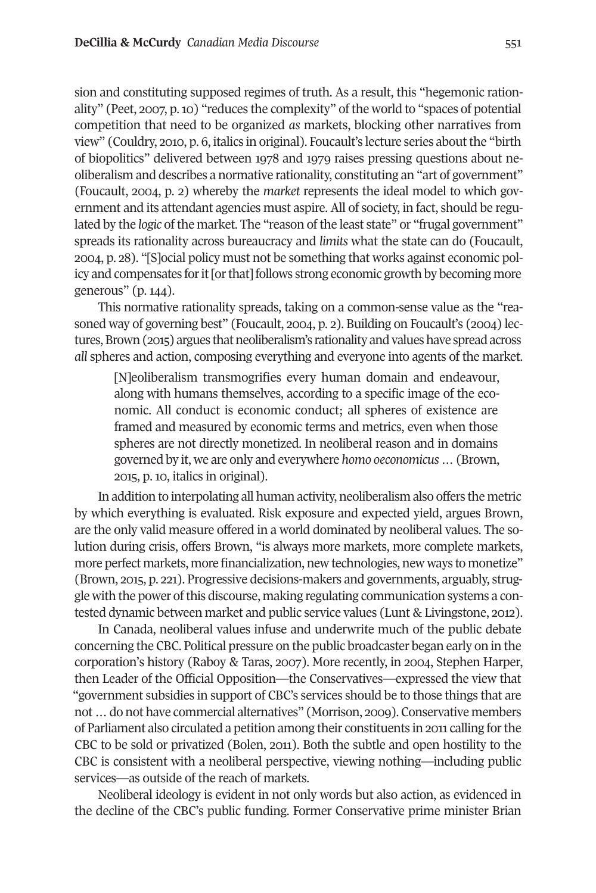sion and constituting supposed regimes of truth. As a result, this "hegemonic rationality" (Peet, 2007, p.10) "reduces the complexity" of the world to "spaces of potential competition that need to be organized *as* markets, blocking other narratives from view" (Couldry, 2010, p. 6, italics in original). Foucault's lecture series aboutthe "birth of biopolitics" delivered between 1978 and 1979 raises pressing questions about neoliberalism and describes a normative rationality, constituting an "art of government" (Foucault, 2004, p. 2) whereby the *market* represents the ideal model to which government and its attendant agencies must aspire. All of society, in fact, should be regulated by the *logic* of the market. The "reason of the least state" or "frugal government" spreads its rationality across bureaucracy and *limits* what the state can do (Foucault, 2004, p. 28). "[s]ocial policy must not be something that works against economic policy and compensates for it [or that] follows strong economic growth by becoming more generous" (p. 144).

this normative rationality spreads, taking on a common-sense value as the "reasoned way of governing best" (Foucault, 2004, p. 2). Building on Foucault's (2004) lectures, Brown (2015) argues that neoliberalism's rationality and values have spread across *all* spheres and action, composing everything and everyone into agents of the market.

[N]eoliberalism transmogrifies every human domain and endeavour, along with humans themselves, according to a specific image of the economic. All conduct is economic conduct; all spheres of existence are framed and measured by economic terms and metrics, even when those spheres are not directly monetized. In neoliberal reason and in domains governed by it, we are only and everywhere *homo oeconomicus …* (Brown, 2015, p. 10, italics in original).

In addition to interpolating all human activity, neoliberalism also offers the metric by which everything is evaluated. risk exposure and expected yield, argues Brown, are the only valid measure offered in a world dominated by neoliberal values. the solution during crisis, offers Brown, "is always more markets, more complete markets, more perfect markets, more financialization, new technologies, new ways to monetize" (Brown, 2015, p. 221). Progressive decisions-makers and governments, arguably, struggle with the power of this discourse, making regulating communication systems a contested dynamic between market and public service values (Lunt & Livingstone, 2012).

In Canada, neoliberal values infuse and underwrite much of the public debate concerning the CBC. Political pressure on the public broadcaster began early on in the corporation's history (Raboy & Taras, 2007). More recently, in 2004, Stephen Harper, then Leader of the Official Opposition—the Conservatives—expressed the view that "government subsidies in support of CBC's services should be to those things that are not…do not have commercial alternatives" (Morrison, 2009). Conservative members of Parliament also circulated a petition among their constituents in 2011 calling forthe CBC to be sold or privatized (Bolen, 2011). Both the subtle and open hostility to the CBC is consistent with a neoliberal perspective, viewing nothing—including public services—as outside of the reach of markets.

Neoliberal ideology is evident in not only words but also action, as evidenced in the decline of the CBC's public funding. Former Conservative prime minister Brian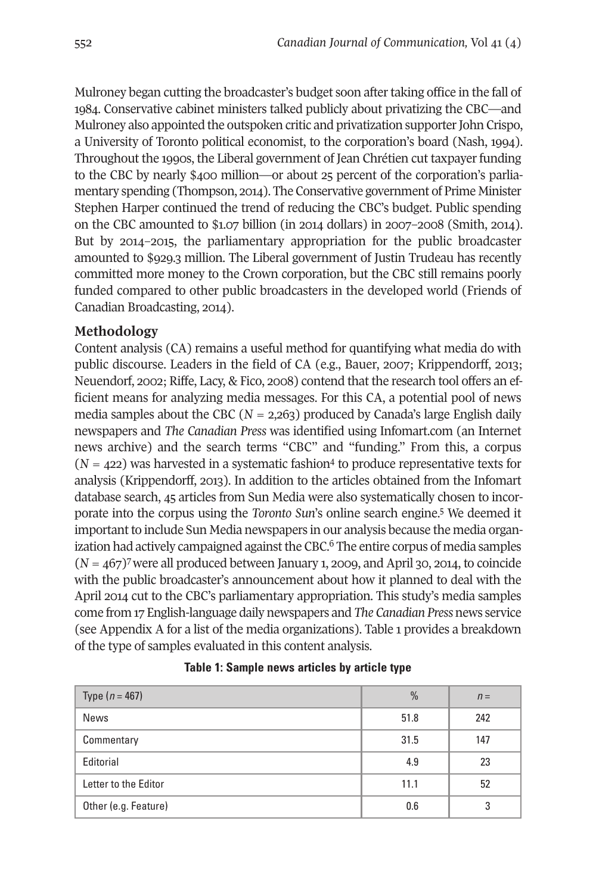Mulroney began cutting the broadcaster's budget soon after taking office in the fall of 1984. Conservative cabinet ministers talked publicly about privatizing the CBC—and Mulroney also appointed the outspoken critic and privatization supporter John Crispo, a University of toronto political economist, to the corporation's board (Nash, 1994). throughout the 1990s, the Liberal government of Jean Chrétien cut taxpayerfunding to the CBC by nearly \$400 million—or about 25 percent of the corporation's parliamentary spending (Thompson, 2014). The Conservative government of Prime Minister stephen Harper continued the trend of reducing the CBC's budget. Public spending on the CBC amounted to  $$1.07$  billion (in 2014 dollars) in 2007–2008 (Smith, 2014). But by 2014–2015, the parliamentary appropriation for the public broadcaster amounted to \$929.3 million. The Liberal government of Justin Trudeau has recently committed more money to the Crown corporation, but the CBC still remains poorly funded compared to other public broadcasters in the developed world (Friends of Canadian Broadcasting, 2014).

# **Methodology**

Content analysis (CA) remains a useful method for quantifying what media do with public discourse. Leaders in the field of CA (e.g., Bauer, 2007; Krippendorff, 2013; Neuendorf, 2002; Riffe, Lacy, & Fico, 2008) contend that the research tool offers an efficient means for analyzing media messages. For this CA, a potential pool of news media samples about the CBC ( $N = 2,263$ ) produced by Canada's large English daily newspapers and *The Canadian Press* was identified using Infomart.com (an Internet news archive) and the search terms "CBC" [and](#page-14-5) "funding." From this, a corpus  $(N = 422)$  was harvested in a systematic fashion<sup>4</sup> to produce representative texts for analysis (Krippendorff, 2013). In addition to the articles obtained from the Infomart database search, 45 articles from sun Media were also systematically [ch](#page-14-4)osen to incorporate into the corpus using the *Toronto Sun*'s online search engine. <sup>5</sup> We deemed it important to include Sun Media newspapers in [ou](#page-14-3)r analysis because the media organization had actively campaigned against the CBC. $\rm^6$  The entire corpus of media samples (*N =* 467[\)7w](#page-15-0)ere all produced between January 1, 2009, and April 30, 2014, to coincide with the public broadcaster's announcement about how it planned to deal with the April 2014 cut to the CBC's parliamentary appropriation. This study's media samples come from 17 English-language daily newspapers and *The Canadian Press* news service (see Appendix A for a list of the media organizations). table 1 provides a breakdown of the type of samples evaluated in this content analysis.

| Type $(n = 467)$     | $\frac{0}{0}$ | $n =$ |
|----------------------|---------------|-------|
| News                 | 51.8          | 242   |
| Commentary           | 31.5          | 147   |
| Editorial            | 4.9           | 23    |
| Letter to the Editor | 11.1          | 52    |
| Other (e.g. Feature) | 0.6           | 3     |

#### **Table 1: Sample news articles by article type**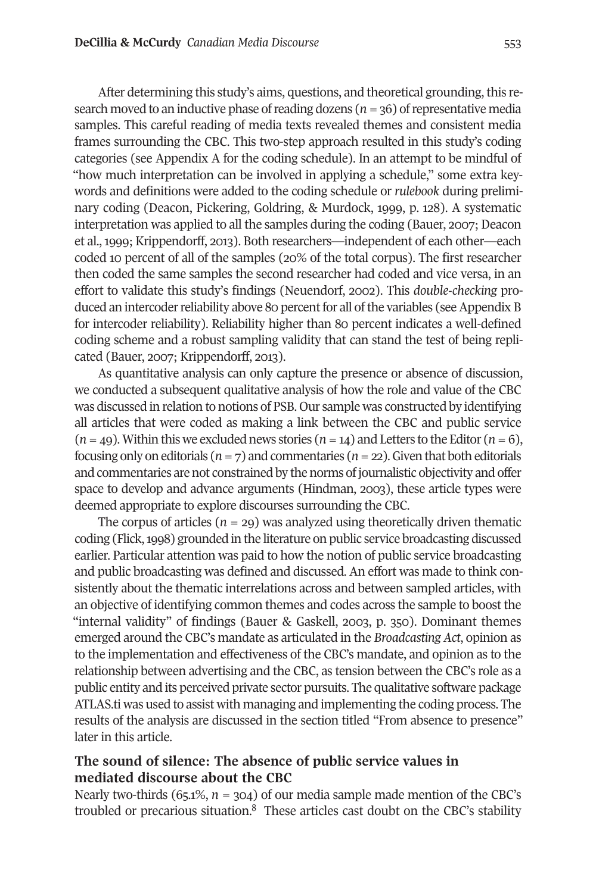After determining this study's aims, questions, and theoretical grounding, this research moved to an inductive phase ofreading dozens (*n=*36) ofrepresentative media samples. This careful reading of media texts revealed themes and consistent media frames surrounding the CBC. this two-step approach resulted in this study's coding categories (see Appendix A for the coding schedule). In an attempt to be mindful of "how much interpretation can be involved in applying a schedule," some extra keywords and definitions were added to the coding schedule or *rulebook* during preliminary coding (Deacon, Pickering, Goldring, & Murdock, 1999, p. 128). A systematic interpretation was applied to all the samples during the coding (Bauer, 2007; Deacon et al.,1999; Krippendorff, 2013). Both researchers—independent of each other—each coded 10 percent of all of the samples (20% of the total corpus). the first researcher then coded the same samples the second researcher had coded and vice versa, in an effort to validate this study's findings (Neuendorf, 2002). this *double-checking* produced an intercoder reliability above 80 percent for all of the variables (see Appendix B for intercoder reliability). Reliability higher than 80 percent indicates a well-defined coding scheme and a robust sampling validity that can stand the test of being replicated (Bauer, 2007; Krippendorff, 2013).

As quantitative analysis can only capture the presence or absence of discussion, we conducted a subsequent qualitative analysis of how the role and value of the CBC was discussed in relation to notions of PsB. Our sample was constructed by identifying all articles that were coded as making a link between the CBC and public service  $(n=49)$ . Within this we excluded news stories  $(n=14)$  and Letters to the Editor  $(n=6)$ , focusing only on editorials ( $n = 7$ ) and commentaries ( $n = 22$ ). Given that both editorials and commentaries are not constrained by the norms of journalistic objectivity and offer space to develop and advance arguments (Hindman, 2003), these article types were deemed appropriate to explore discourses surrounding the CBC.

The corpus of articles  $(n = 29)$  was analyzed using theoretically driven thematic coding (Flick,1998) grounded in the literature on public service broadcasting discussed earlier. Particular attention was paid to how the notion of public service broadcasting and public broadcasting was defined and discussed. An effort was made to think consistently about the thematic interrelations across and between sampled articles, with an objective of identifying common themes and codes across the sample to boost the "internal validity" of findings (Bauer & Gaskell, 2003, p. 350). Dominant themes emerged around the CBC's mandate as articulated in the *Broadcasting Act*, opinion as to the implementation and effectiveness of the CBC's mandate, and opinion as to the relationship between advertising and the CBC, as tension between the CBC's role as a public entity and its perceived private sector pursuits. the qualitative software package AtLAs.ti was used to assist with managing and implementing the coding process. the results of the analysis are discussed in the section titled "From absence to presence" later in this article.

# **The sound of silence: The absence of public service values in mediated discourse about the CBC**

Nearly two-thirds (65.1%,  $n = 304$ ) of our media sample made mention of the CBC's troubled or precarious situation.<sup>8</sup> These articles cast doubt on the CBC's stability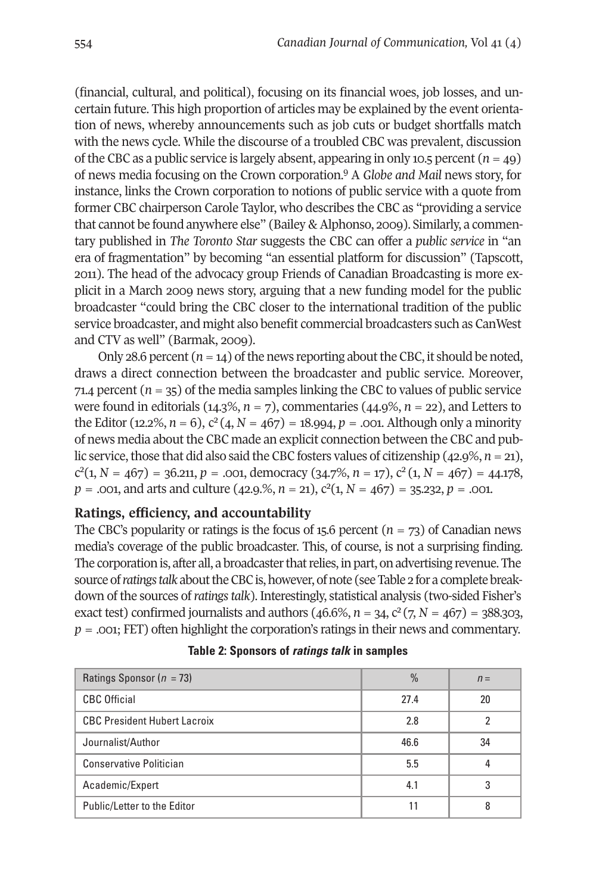(financial, cultural, and political), focusing on its financial woes, job losses, and uncertain future. This high proportion of articles may be explained by the event orientation of news, whereby announcements such as job cuts or budget shortfalls match with the news cycle. While the discourse of a troubled CBC was prevalent, discussion of the CBC as a public service is largely absent, app[ear](#page-15-2)ing in only 10.5 percent  $(n=49)$ of news media focusing on the Crown corporation. <sup>9</sup> A *Globe and Mail* news story, for instance, links the Crown corporation to notions of public service with a quote from former CBC chairperson Carole taylor, who describes the CBC as "providing a service that cannot be found anywhere else" (Bailey & Alphonso, 2009). similarly, a commentary published in *The Toronto Star* suggests the CBC can offer a *public service* in "an era of fragmentation" by becoming "an essential platform for discussion" (Tapscott, 2011). the head of the advocacy group Friends of Canadian Broadcasting is more explicit in a March 2009 news story, arguing that a new funding model for the public broadcaster "could bring the CBC closer to the international tradition of the public service broadcaster, and might also benefit commercial broadcasters such as CanWest and CTV as well" (Barmak, 2009).

Only 28.6 percent  $(n=14)$  of the news reporting about the CBC, it should be noted, draws a direct connection between the broadcaster and public service. Moreover, 71.4 percent  $(n = 35)$  of the media samples linking the CBC to values of public service were found in editorials (14.3%, *n =* 7), commentaries (44.9%, *n =* 22), and Letters to the Editor (12.2%,  $n = 6$ ),  $c^2(4, N = 467) = 18.994$ ,  $p = .001$ . Although only a minority of news media about the CBC made an explicit connection between the CBC and public service, those that did also said the CBC fosters values of citizenship  $(42.9\%, n=21)$ ,  $c^{2}(1, N = 467) = 36.211, p = .001,$  democracy  $(34.7\%, n = 17), c^{2}(1, N = 467) = 44.178,$  $p = .001$ , and arts and culture (42.9.%,  $n = 21$ ),  $c^2(1, N = 467) = 35.232$ ,  $p = .001$ .

#### **Ratings, efficiency, and accountability**

The CBC's popularity or ratings is the focus of 15.6 percent  $(n = 73)$  of Canadian news media's coverage of the public broadcaster. this, of course, is not a surprising finding. The corporation is, after all, a broadcaster that relies, in part, on advertising revenue. The source of *ratings talk* about the CBC is, however, of note (see Table 2 for a complete breakdown of the sources of*ratingstalk*). Interestingly, statistical analysis (two-sided Fisher's exact test) confirmed journalists and authors (46.6%,  $n = 34$ ,  $c^2$  (7,  $N = 467$ ) = 388.303, *p* = .001; FEt) often highlight the corporation's ratings in their news and commentary.

| Ratings Sponsor ( $n = 73$ )        | $\frac{0}{0}$ | $n =$ |
|-------------------------------------|---------------|-------|
| <b>CBC Official</b>                 | 27.4          | 20    |
| <b>CBC President Hubert Lacroix</b> | 2.8           |       |
| Journalist/Author                   | 46.6          | 34    |
| <b>Conservative Politician</b>      | 5.5           |       |
| Academic/Expert                     | 4.1           | 3     |
| Public/Letter to the Editor         |               |       |

|  |  |  | Table 2: Sponsors of <i>ratings talk</i> in samples |  |  |  |  |  |  |
|--|--|--|-----------------------------------------------------|--|--|--|--|--|--|
|--|--|--|-----------------------------------------------------|--|--|--|--|--|--|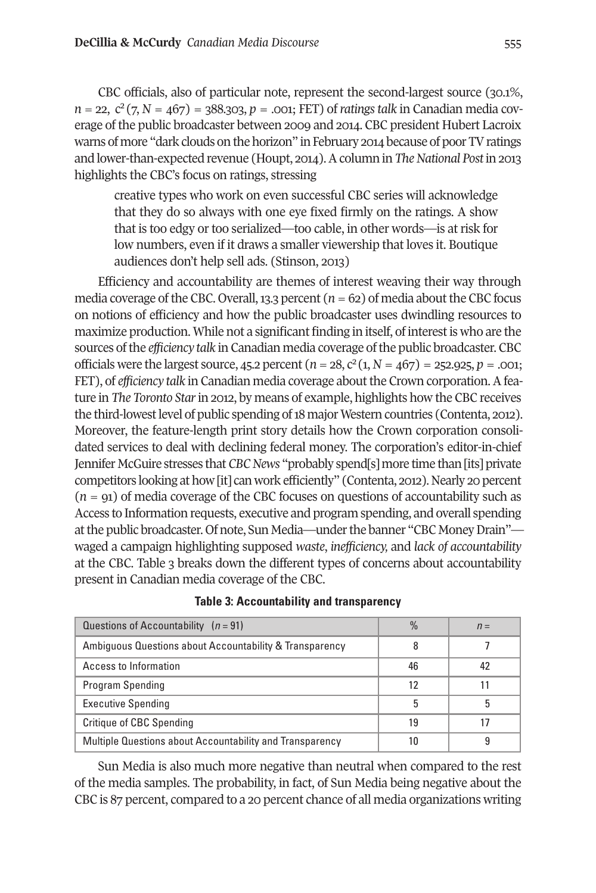CBC officials, also of particular note, represent the second-largest source (30.1%,  $n = 22$ ,  $c^2$  (7,  $N = 467$ ) = 388.303,  $p = .001$ ; FET) of *ratings talk* in Canadian media coverage of the public broadcaster between 2009 and 2014. CBC president Hubert Lacroix warns of more "dark clouds on the horizon" in February 2014 because of poor TV ratings and lower-than-expected revenue (Houpt, 2014). A column in *The National Post* in 2013 highlights the CBC's focus on ratings, stressing

creative types who work on even successful CBC series will acknowledge that they do so always with one eye fixed firmly on the ratings. A show that is too edgy or too serialized—too cable, in other words—is at risk for low numbers, even if it draws a smaller viewership that loves it. Boutique audiences don't help sell ads. (stinson, 2013)

Efficiency and accountability are themes of interest weaving their way through media coverage of the CBC. Overall, 13.3 percent  $(n=62)$  of media about the CBC focus on notions of efficiency and how the public broadcaster uses dwindling resources to maximize production. While not a significant finding in itself, of interestis who are the sources ofthe *efficiency talk* in Canadian media coverage ofthe public broadcaster. CBC officials were the largest source, 45.2 percent  $(n=28, c^2(1, N=467)) = 252.925, p = .001;$ FEt), of *efficiency talk* in Canadian media coverage aboutthe Crown corporation.Afeature in *The Toronto Star*in 2012, by means of example, highlights how the CBC receives the third-lowest level of public spending of 18 major Western countries (Contenta, 2012). Moreover, the feature-length print story details how the Crown corporation consolidated services to deal with declining federal money. the corporation's editor-in-chief Jennifer McGuire stresses that*CBCNews* "probably spend[s] more time than[its] private competitors looking athow[it] canwork efficiently" (Contenta, 2012). Nearly 20 percent (*n =* 91) of media coverage of the CBC focuses on questions of accountability such as Access to Information requests, executive and program spending, and overall spending at the public broadcaster. Of note, Sun Media—under the banner "CBC Money Drain" waged a campaign highlighting supposed *waste*, *inefficiency,* and *lack of accountability* at the CBC. table 3 breaks down the different types of concerns about accountability present in Canadian media coverage of the CBC.

| Questions of Accountability $(n = 91)$                   | $\frac{0}{0}$ | $n =$ |
|----------------------------------------------------------|---------------|-------|
| Ambiguous Questions about Accountability & Transparency  |               |       |
| Access to Information                                    | 46            |       |
| Program Spending                                         | 12            |       |
| <b>Executive Spending</b>                                | 5             |       |
| Critique of CBC Spending                                 | 19            |       |
| Multiple Questions about Accountability and Transparency |               |       |

#### **Table 3: Accountability and transparency**

sun Media is also much more negative than neutral when compared to the rest of the media samples. the probability, in fact, of sun Media being negative about the CBC is 87 percent, compared to a 20 percent chance of all media organizations writing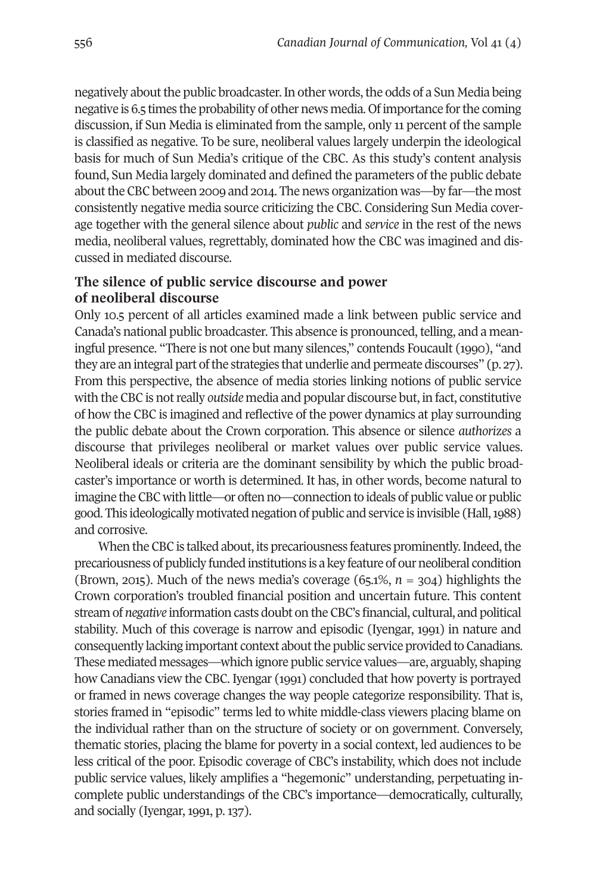negatively about the public broadcaster. In other words, the odds of a Sun Media being negative is 6.5 times the probability of other news media. Ofimportance forthe coming discussion, if sun Media is eliminated from the sample, only 11 percent of the sample is classified as negative. To be sure, neoliberal values largely underpin the ideological basis for much of sun Media's critique of the CBC. As this study's content analysis found, sun Media largely dominated and defined the parameters of the public debate about the CBC between 2009 and 2014. The news organization was—by far—the most consistently negative media source criticizing the CBC. Considering sun Media coverage together with the general silence about *public* and *service* in the rest of the news media, neoliberal values, regrettably, dominated how the CBC was imagined and discussed in mediated discourse.

# **The silence of public service discourse and power of neoliberal discourse**

Only 10.5 percent of all articles examined made a link between public service and Canada's national public broadcaster. This absence is pronounced, telling, and a meaningful presence. "There is not one but many silences," contends Foucault (1990), "and they are an integral part of the strategies that underlie and permeate discourses" (p. 27). From this perspective, the absence of media stories linking notions of public service with the CBC is notreally *outside* media and popular discourse but, in fact, constitutive of how the CBC is imagined and reflective of the power dynamics at play surrounding the public debate about the Crown corporation. this absence or silence *authorizes* a discourse that privileges neoliberal or market values over public service values. Neoliberal ideals or criteria are the dominant sensibility by which the public broadcaster's importance or worth is determined. It has, in other words, become natural to imagine theCBC with little—or often no—connection to ideals of public value or public good. this ideologically motivated negation of public and service is invisible (Hall,1988) and corrosive.

When the CBC is talked about, its precariousness features prominently. Indeed, the precariousness of publicly funded institutions is a key feature of ourneoliberal condition (Brown, 2015). Much of the news media's coverage (65.1%, *n =* 304) highlights the Crown corporation's troubled financial position and uncertain future. This content stream of *negative* information casts doubt on theCBC's financial, cultural, and political stability. Much of this coverage is narrow and episodic (Iyengar, 1991) in nature and consequently lacking important context about the public service provided to Canadians. these mediated messages—which ignore public service values—are, arguably, shaping how Canadians view the CBC. Iyengar (1991) concluded that how poverty is portrayed or framed in news coverage changes the way people categorize responsibility. that is, stories framed in "episodic" terms led to white middle-class viewers placing blame on the individual rather than on the structure of society or on government. Conversely, thematic stories, placing the blame for poverty in a social context, led audiences to be less critical of the poor. Episodic coverage of CBC's instability, which does not include public service values, likely amplifies a "hegemonic" understanding, perpetuating incomplete public understandings of the CBC's importance—democratically, culturally, and socially (Iyengar, 1991, p. 137).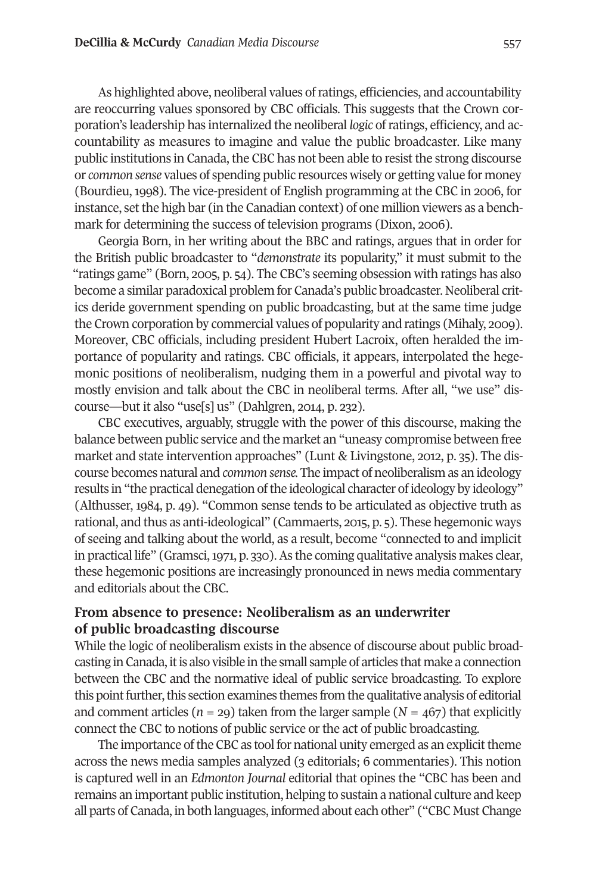As highlighted above, neoliberal values of ratings, efficiencies, and accountability are reoccurring values sponsored by CBC officials. this suggests that the Crown corporation's leadership has internalized the neoliberal *logic* ofratings, efficiency, and accountability as measures to imagine and value the public broadcaster. Like many public institutions in Canada, the CBC has not been able to resist the strong discourse or *common sense* values of spending public resources wisely or getting value for money (Bourdieu, 1998). the vice-president of English programming at the CBC in 2006, for instance, setthe high bar (in the Canadian context) of one million viewers as a benchmark for determining the success of television programs (Dixon, 2006).

Georgia Born, in her writing about the BBC and ratings, argues that in order for the British public broadcaster to "*demonstrate* its popularity," it must submit to the "ratings game" (Born, 2005, p. 54). the CBC's seeming obsession with ratings has also become a similar paradoxical problem for Canada's public broadcaster. Neoliberal critics deride government spending on public broadcasting, but at the same time judge the Crown corporation by commercial values of popularity and ratings (Mihaly, 2009). Moreover, CBC officials, including president Hubert Lacroix, often heralded the importance of popularity and ratings. CBC officials, it appears, interpolated the hegemonic positions of neoliberalism, nudging them in a powerful and pivotal way to mostly envision and talk about the CBC in neoliberal terms. After all, "we use" discourse—but it also "use[s] us" (Dahlgren, 2014, p. 232).

CBC executives, arguably, struggle with the power of this discourse, making the balance between public service and the market an "uneasy compromise between free market and state intervention approaches" (Lunt & Livingstone, 2012, p. 35). the discourse becomes natural and *common sense.* the impact of neoliberalism as an ideology results in "the practical denegation of the ideological character of ideology by ideology" (Althusser, 1984, p. 49). "Common sense tends to be articulated as objective truth as rational, and thus as anti-ideological" (Cammaerts, 2015, p. 5). these hegemonic ways of seeing and talking about the world, as a result, become "connected to and implicit in practical life" (Gramsci, 1971, p. 330). As the coming qualitative analysis makes clear, these hegemonic positions are increasingly pronounced in news media commentary and editorials about the CBC.

# **From absence to presence: Neoliberalism as an underwriter of public broadcasting discourse**

While the logic of neoliberalism exists in the absence of discourse about public broadcasting inCanada, itis also visible in the small sample of articles that make a connection between the CBC and the normative ideal of public service broadcasting. to explore this point further, this section examines themes from the qualitative analysis of editorial and comment articles ( $n = 29$ ) taken from the larger sample ( $N = 467$ ) that explicitly connect the CBC to notions of public service or the act of public broadcasting.

The importance of the CBC as tool for national unity emerged as an explicit theme across the news media samples analyzed (3 editorials; 6 commentaries). this notion is captured well in an *Edmonton Journal* editorial that opines the "CBC has been and remains an important public institution, helping to sustain a national culture and keep all parts of Canada, in both languages, informed about each other" ("CBC Must Change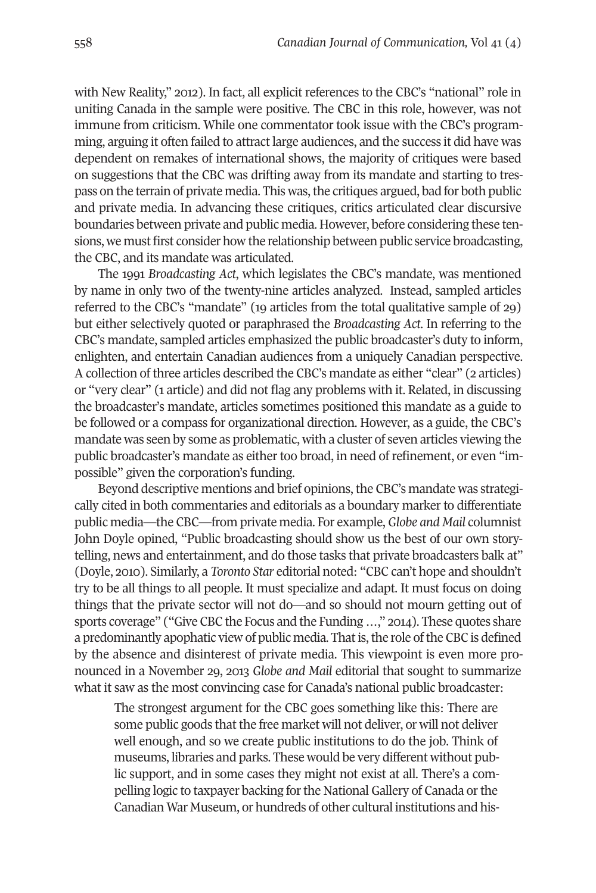with New Reality," 2012). In fact, all explicit references to the CBC's "national" role in uniting Canada in the sample were positive. the CBC in this role, however, was not immune from criticism. While one commentator took issue with the CBC's programming, arguing it often failed to attract large audiences, and the success it did have was dependent on remakes of international shows, the majority of critiques were based on suggestions that the CBC was drifting away from its mandate and starting to trespass on the terrain of private media. this was,the critiques argued, bad for both public and private media. In advancing these critiques, critics articulated clear discursive boundaries between private and public media. However, before considering these tensions, we must first consider how the relationship between public service broadcasting, the CBC, and its mandate was articulated.

the 1991 *Broadcasting Act*, which legislates the CBC's mandate, was mentioned by name in only two of the twenty-nine articles analyzed. Instead, sampled articles referred to the CBC's "mandate" (19 articles from the total qualitative sample of 29) but either selectively quoted or paraphrased the *Broadcasting Act*. In referring to the CBC's mandate, sampled articles emphasized the public broadcaster's duty to inform, enlighten, and entertain Canadian audiences from a uniquely Canadian perspective. A collection of three articles described the CBC's mandate as either "clear" (2 articles) or "very clear" (1 article) and did not flag any problems with it. Related, in discussing the broadcaster's mandate, articles sometimes positioned this mandate as a guide to be followed or a compass for organizational direction. However, as a guide, the CBC's mandate was seen by some as problematic, with a cluster of seven articles viewing the public broadcaster's mandate as either too broad, in need of refinement, or even "impossible" given the corporation's funding.

Beyond descriptive mentions and brief opinions, the CBC's mandate was strategically cited in both commentaries and editorials as a boundary marker to differentiate public media—the CBC—from private media. For example, *Globe and Mail* columnist John Doyle opined, "Public broadcasting should show us the best of our own storytelling, news and entertainment, and do those tasks that private broadcasters balk at" (Doyle, 2010). similarly, a *Toronto Star* editorial noted: "CBC can't hope and shouldn't try to be all things to all people. It must specialize and adapt. It must focus on doing things that the private sector will not do—and so should not mourn getting out of sports coverage" ("Give CBC the Focus and the Funding ...," 2014). These quotes share a predominantly apophatic view of public media. That is, the role of the CBC is defined by the absence and disinterest of private media. this viewpoint is even more pronounced in a November 29, 2013 *Globe and Mail* editorial that sought to summarize what it saw as the most convincing case for Canada's national public broadcaster:

The strongest argument for the CBC goes something like this: There are some public goods that the free market will not deliver, or will not deliver well enough, and so we create public institutions to do the job. Think of museums, libraries and parks. These would be very different without public support, and in some cases they might not exist at all. There's a compelling logic to taxpayer backing forthe National Gallery of Canada orthe Canadian War Museum, or hundreds of other cultural institutions and his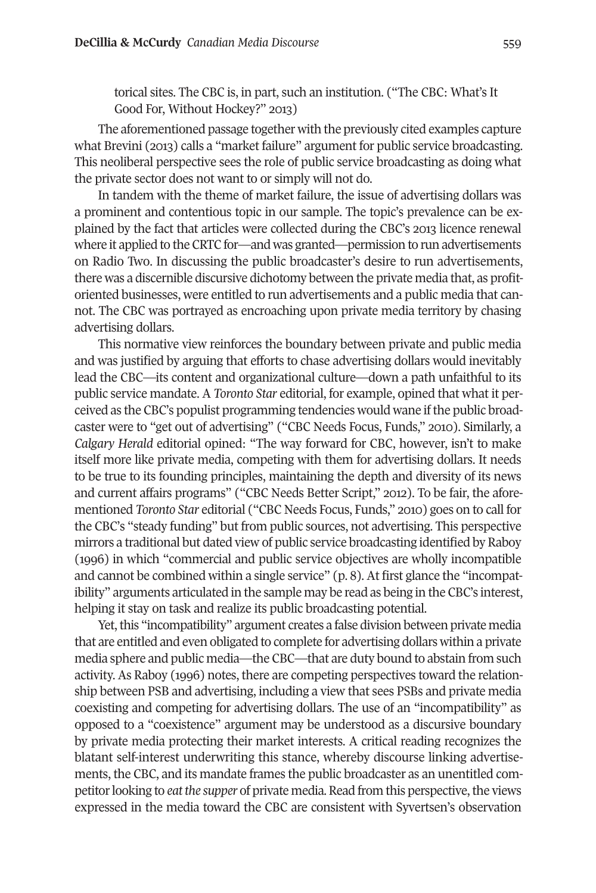torical sites. The CBC is, in part, such an institution. ("The CBC: What's It Good For, Without Hockey?" 2013)

The aforementioned passage together with the previously cited examples capture what Brevini (2013) calls a "market failure" argument for public service broadcasting. this neoliberal perspective sees the role of public service broadcasting as doing what the private sector does not want to or simply will not do.

In tandem with the theme of market failure, the issue of advertising dollars was a prominent and contentious topic in our sample. the topic's prevalence can be explained by the fact that articles were collected during the CBC's 2013 licence renewal where it applied to the CRTC for—and was granted—permission to run advertisements on radio two. In discussing the public broadcaster's desire to run advertisements, there was a discernible discursive dichotomy between the private media that, as profitoriented businesses, were entitled to run advertisements and a public media that cannot. the CBC was portrayed as encroaching upon private media territory by chasing advertising dollars.

This normative view reinforces the boundary between private and public media and was justified by arguing that efforts to chase advertising dollars would inevitably lead the CBC—its content and organizational culture—down a path unfaithful to its public service mandate. A *Toronto Star* editorial, for example, opined that what it perceived as the CBC's populist programming tendencies would wane ifthe public broadcaster were to "get out of advertising" ("CBC Needs Focus, Funds," 2010). similarly, a *Calgary Herald* editorial opined: "the way forward for CBC, however, isn't to make itself more like private media, competing with them for advertising dollars. It needs to be true to its founding principles, maintaining the depth and diversity of its news and current affairs programs" ("CBC Needs Better script," 2012). to be fair, the aforementioned *Toronto Star* editorial ("CBC Needs Focus, Funds," 2010) goes on to call for the CBC's "steady funding" but from public sources, not advertising. This perspective mirrors a traditional but dated view of public service broadcasting identified by raboy (1996) in which "commercial and public service objectives are wholly incompatible and cannot be combined within a single service" (p. 8). At first glance the "incompatibility" arguments articulated in the sample may be read as being in the CBC's interest, helping it stay on task and realize its public broadcasting potential.

Yet, this "incompatibility" argument creates a false division between private media that are entitled and even obligated to complete for advertising dollars within a private media sphere and public media—the CBC—that are duty bound to abstain from such activity. As Raboy (1996) notes, there are competing perspectives toward the relationship between PsB and advertising, including a view that sees PsBs and private media coexisting and competing for advertising dollars. the use of an "incompatibility" as opposed to a "coexistence" argument may be understood as a discursive boundary by private media protecting their market interests. A critical reading recognizes the blatant self-interest underwriting this stance, whereby discourse linking advertisements, the CBC, and its mandate frames the public broadcaster as an unentitled competitor looking to *eat the supper* of private media. Read from this perspective, the views expressed in the media toward the CBC are consistent with syvertsen's observation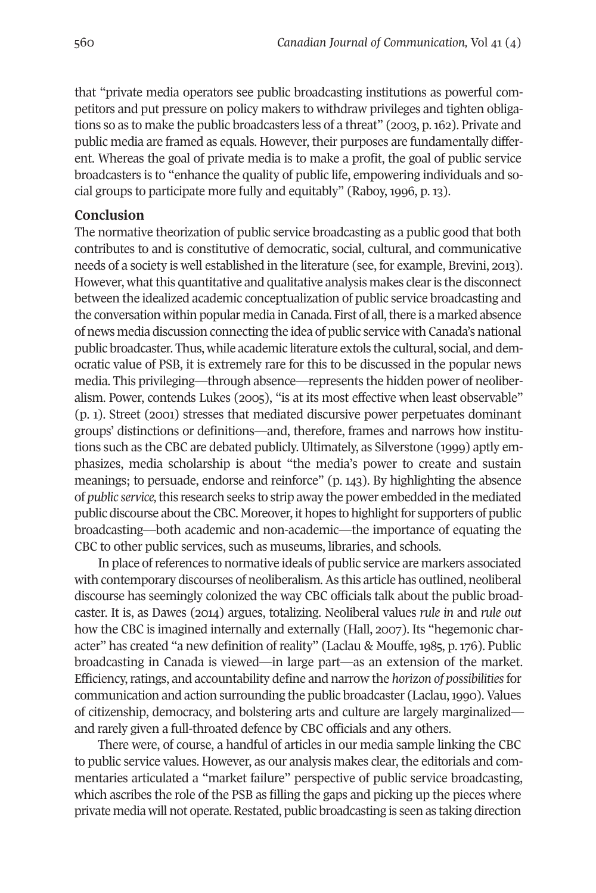that "private media operators see public broadcasting institutions as powerful competitors and put pressure on policy makers to withdraw privileges and tighten obligations so as to make the public broadcasters less of a threat" (2003, p.162). Private and public media are framed as equals. However, their purposes are fundamentally different. Whereas the goal of private media is to make a profit, the goal of public service broadcasters is to "enhance the quality of public life, empowering individuals and social groups to participate more fully and equitably" (Raboy, 1996, p. 13).

### **Conclusion**

The normative theorization of public service broadcasting as a public good that both contributes to and is constitutive of democratic, social, cultural, and communicative needs of a society is well established in the literature (see, for example, Brevini, 2013). However, what this quantitative and qualitative analysis makes clear is the disconnect between the idealized academic conceptualization of public service broadcasting and the conversation within popular media in Canada. First of all, there is a marked absence of news media discussion connecting the idea of public service with Canada's national public broadcaster. thus, while academic literature extols the cultural, social, and democratic value of PsB, it is extremely rare for this to be discussed in the popular news media. this privileging—through absence—represents the hidden power of neoliberalism. Power, contends Lukes (2005), "is at its most effective when least observable" (p. 1). street (2001) stresses that mediated discursive power perpetuates dominant groups' distinctions or definitions—and, therefore, frames and narrows how institutions such as the CBC are debated publicly. Ultimately, as silverstone (1999) aptly emphasizes, media scholarship is about "the media's power to create and sustain meanings; to persuade, endorse and reinforce" (p. 143). By highlighting the absence of *public service,*this research seeks to strip away the power embedded in the mediated public discourse about the CBC. Moreover, it hopes to highlight for supporters of public broadcasting—both academic and non-academic—the importance of equating the CBC to other public services, such as museums, libraries, and schools.

In place ofreferences to normative ideals of public service are markers associated with contemporary discourses of neoliberalism.As this article has outlined, neoliberal discourse has seemingly colonized the way CBC officials talk about the public broadcaster. It is, as Dawes (2014) argues, totalizing. Neoliberal values *rule in* and *rule out* how the CBC is imagined internally and externally (Hall, 2007). Its "hegemonic character" has created "a new definition of reality" (Laclau & Mouffe, 1985, p. 176). Public broadcasting in Canada is viewed—in large part—as an extension of the market. Efficiency,ratings, and accountability define and narrow the *horizon of possibilities*for communication and action surrounding the public broadcaster (Laclau, 1990). Values of citizenship, democracy, and bolstering arts and culture are largely marginalized and rarely given a full-throated defence by CBC officials and any others.

There were, of course, a handful of articles in our media sample linking the CBC to public service values. However, as our analysis makes clear, the editorials and commentaries articulated a "market failure" perspective of public service broadcasting, which ascribes the role of the PsB as filling the gaps and picking up the pieces where private media will not operate. Restated, public broadcasting is seen as taking direction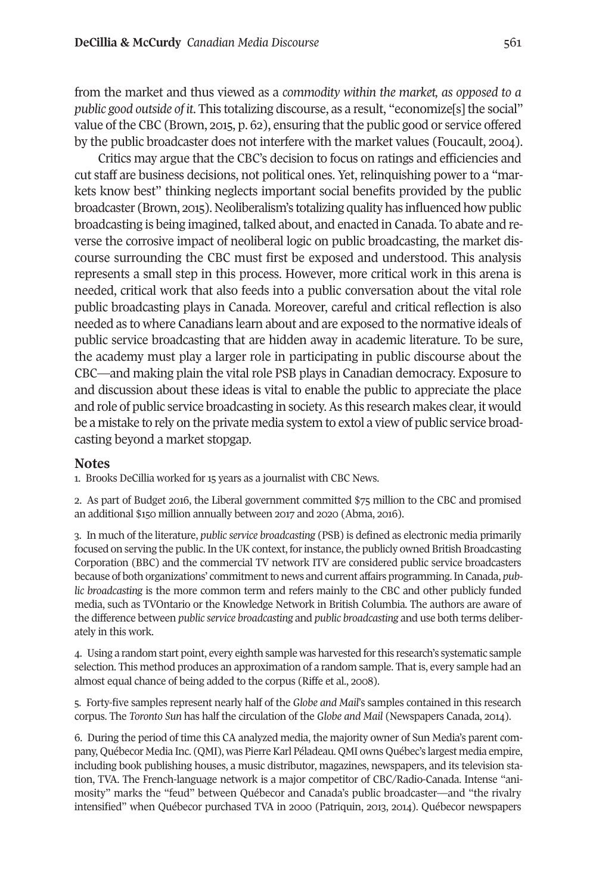from the market and thus viewed as a *commodity within the market, as opposed to a public good outside of it*. this totalizing discourse, as a result, "economize[s] the social" value of the CBC (Brown, 2015, p. 62), ensuring that the public good or service offered by the public broadcaster does not interfere with the market values (Foucault, 2004).

Critics may argue that the CBC's decision to focus on ratings and efficiencies and cut staff are business decisions, not political ones. Yet, relinquishing power to a "markets know best" thinking neglects important social benefits provided by the public broadcaster (Brown, 2015). Neoliberalism's totalizing quality has influenced how public broadcasting is being imagined, talked about, and enacted in Canada. to abate and reverse the corrosive impact of neoliberal logic on public broadcasting, the market discourse surrounding the CBC must first be exposed and understood. this analysis represents a small step in this process. However, more critical work in this arena is needed, critical work that also feeds into a public conversation about the vital role public broadcasting plays in Canada. Moreover, careful and critical reflection is also needed as to where Canadians learn about and are exposed to the normative ideals of public service broadcasting that are hidden away in academic literature. to be sure, the academy must play a larger role in participating in public discourse about the CBC—and making plain the vital role PsB plays in Canadian democracy. Exposure to and discussion about these ideas is vital to enable the public to appreciate the place and role of public service broadcasting in society.As this research makes clear, it would be a mistake to rely on the private media system to extol a view of public service broadcasting beyond a market stopgap.

#### <span id="page-14-0"></span>**Notes**

1. Brooks DeCillia worked for 15 years as a journalist with CBC News.

<span id="page-14-2"></span><span id="page-14-1"></span>2. As part of Budget 2016, the Liberal government committed \$75 million to the CBC and promised an additional \$150 million annually between 2017 and 2020 (Abma, 2016).

3. In much of the literature, *public service broadcasting* (PsB) is defined as electronic media primarily focused on serving the public. In the UK context, for instance, the publicly owned British Broadcasting Corporation (BBC) and the commercial tV network ItV are considered public service broadcasters because of both organizations' commitmentto news and current affairs programming.In Canada, *public broadcasting* is the more common term and refers mainly to the CBC and other publicly funded media, such as tVOntario or the Knowledge Network in British Columbia. the authors are aware of the difference between *public service broadcasting* and *public broadcasting* and use both terms deliberately in this work.

<span id="page-14-5"></span>4. Using a random start point, every eighth sample was harvested forthis research's systematic sample selection. This method produces an approximation of a random sample. That is, every sample had an almost equal chance of being added to the corpus (Riffe et al., 2008).

<span id="page-14-4"></span>5. Forty-five samples represent nearly half of the *Globe and Mail*'s samples contained in this research corpus. the *Toronto Sun* has half the circulation of the *Globe and Mail* (Newspapers Canada, 2014).

<span id="page-14-3"></span>6. During the period of time this CA analyzed media, the majority owner of sun Media's parent company, Québecor Media Inc. (QMI), was PierreKarl Péladeau. QMI owns Québec's largest media empire, including book publishing houses, a music distributor, magazines, newspapers, and its television station, TVA. The French-language network is a major competitor of CBC/Radio-Canada. Intense "animosity" marks the "feud" between Québecor and Canada's public broadcaster—and "the rivalry intensified" when Québecor purchased tVA in 2000 (Patriquin, 2013, 2014). Québecor newspapers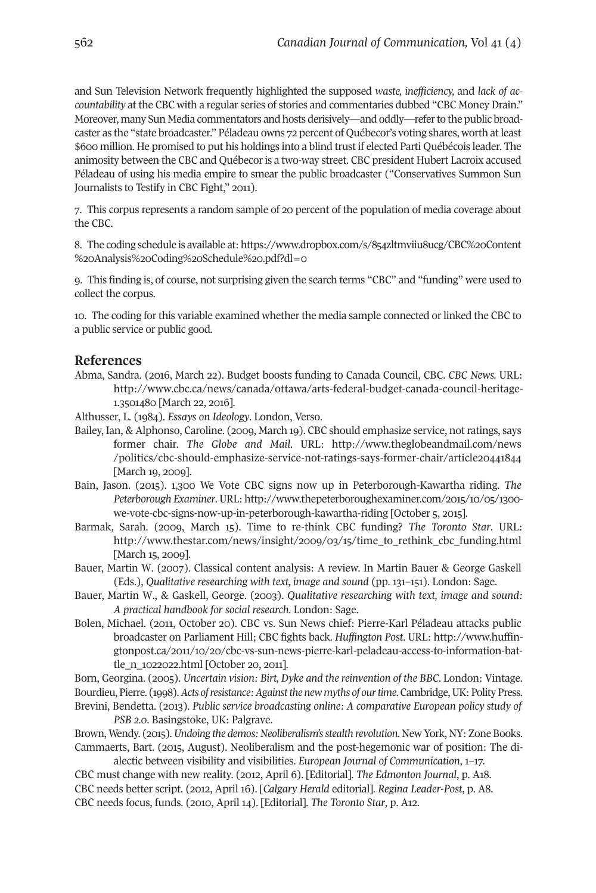and sun television Network frequently highlighted the supposed *waste, inefficiency,* and *lack of accountability* at the CBC with a regular series of stories and commentaries dubbed "CBC Money Drain." Moreover, many sun Media commentators and hosts derisively—and oddly—referto the public broadcaster as the "state broadcaster." Péladeau owns 72 percent of Québecor's voting shares, worth atleast \$600 million. He promised to put his holdings into a blind trust if elected Parti Québécois leader. the animosity between the CBC and Québecoris a two-way street. CBC president Hubert Lacroix accused Péladeau of using his media empire to smear the public broadcaster ("Conservatives summon sun Journalists to Testify in CBC Fight," 2011).

<span id="page-15-0"></span>7. this corpus represents a random sample of 20 percent of the population of media coverage about the CBC.

8. the coding schedule is available at: [https://www.dropbox.com/s/854zltmviiu8ucg/CBC%20Content](https://www.dropbox.com/s/854zltmviiu8ucg/CBC%20Content%20Analysis%20Coding%20Schedule%20.pdf?dl=0) [%20Analysis%20Coding%20schedule%20.pdf?dl=0](https://www.dropbox.com/s/854zltmviiu8ucg/CBC%20Content%20Analysis%20Coding%20Schedule%20.pdf?dl=0)

<span id="page-15-1"></span>9. this finding is, of course, not surprising given the search terms "CBC" and "funding" were used to collect the corpus.

<span id="page-15-2"></span>10. the coding for this variable examined whether the media sample connected or linked the CBC to a public service or public good.

#### **References**

Abma, sandra. (2016, March 22). Budget boosts funding to Canada Council, CBC. *CBC News.* UrL: [http://www.cbc.ca/news/canada/ottawa/arts-federal-budget-canada-council-heritage-](http://www.cbc.ca/news/canada/ottawa/arts-federal-budget-canada-council-heritage-1.3501480)[1.3501480](http://www.cbc.ca/news/canada/ottawa/arts-federal-budget-canada-council-heritage-1.3501480) [March 22, 2016].

Althusser, L. (1984). *Essays on Ideology*. London, Verso.

- Bailey, Ian, & Alphonso, Caroline. (2009, March 19). CBC should emphasize service, notratings, says former chair. *The Globe and Mail*. UrL: [http://www.theglobeandmail.com/news](http://www.theglobeandmail.com/news/politics/cbc-should-emphasize-service-not-ratings-says-former-chair/article20441844) [/politics/cbc-should-emphasize-service-not-ratings-says-former-chair/article20441844](http://www.theglobeandmail.com/news/politics/cbc-should-emphasize-service-not-ratings-says-former-chair/article20441844) [March 19, 2009].
- Bain, Jason. (2015). 1,300 We Vote CBC signs now up in Peterborough-Kawartha riding. *The Peterborough Examiner*. UrL: [http://www.thepeterboroughexaminer.com/2015/10/05/1300](http://www.thepeterboroughexaminer.com/2015/10/05/1300-we-vote-cbc-signs-now-up-in-peterborough-kawartha-riding) [we-vote-cbc-signs-now-up-in-peterborough-kawartha-riding](http://www.thepeterboroughexaminer.com/2015/10/05/1300-we-vote-cbc-signs-now-up-in-peterborough-kawartha-riding) [October 5, 2015].
- Barmak, sarah. (2009, March 15). time to re-think CBC funding? *The Toronto Star*. UrL: [http://www.thestar.com/news/insight/2009/03/15/time\\_to\\_rethink\\_cbc\\_funding.html](http://www.thestar.com/news/insight/2009/03/15/time_to_rethink_cbc_funding.html ) [March 15, 2009].
- Bauer, Martin W. (2007). Classical content analysis: A review. In Martin Bauer & George Gaskell (Eds.), *Qualitative researching with text, image and sound* (pp. 131–151). London: sage.
- Bauer, Martin W., & Gaskell, George. (2003). *Qualitative researching with text, image and sound: A practical handbook for social research*. London: sage.
- Bolen, Michael. (2011, October 20). CBC vs. sun News chief: Pierre-Karl Péladeau attacks public [broadcaster](http://www.thestar.com/news/insight/2009/03/15/time_to_rethink_cbc_funding.html ) on Parliament Hill; CBC fights back. *Huffington Post*. UrL: [http://www.huffin](http://www.huffingtonpost.ca/2011/10/20/cbc-vs-sun-news-pierre-karl-peladeau-access-to-information-battle_n_1022022.html)[gtonpost.ca/2011/10/20/cbc-vs-sun-news-pierre-karl-peladeau-access-to-information-bat](http://www.huffingtonpost.ca/2011/10/20/cbc-vs-sun-news-pierre-karl-peladeau-access-to-information-battle_n_1022022.html)[tle\\_n\\_1022022.html](http://www.huffingtonpost.ca/2011/10/20/cbc-vs-sun-news-pierre-karl-peladeau-access-to-information-battle_n_1022022.html) [October 20, 2011].

Born, Georgina. (2005). *Uncertain vision: Birt, Dyke and the reinvention of the BBC*. London: Vintage. Bourdieu,Pierre. (1998).*Acts ofresistance:Againstthe new myths of ourtime*.Cambridge,UK:PolityPress. Brevini, Bendetta. (2013). *Public service broadcasting online: A comparative European policy study of*

*PSB 2.0*. Basingstoke, UK: Palgrave.

Brown, Wendy. (2015).*Undoing the demos:Neoliberalism'sstealth revolution*. New York, NY: Zone Books. Cammaerts, Bart. (2015, August). Neoliberalism and the post-hegemonic war of position: the di-

alectic between visibility and visibilities. *European Journal of Communication*, 1–17. CBC must change with new reality. (2012, April 6). [Editorial]. *The Edmonton Journal*, p. A18. CBC needs better script. (2012, April 16). [*Calgary Herald* editorial]. *Regina Leader-Post*, p. A8. CBC needs focus, funds. (2010, April 14). [Editorial]. *The Toronto Star*, p. A12.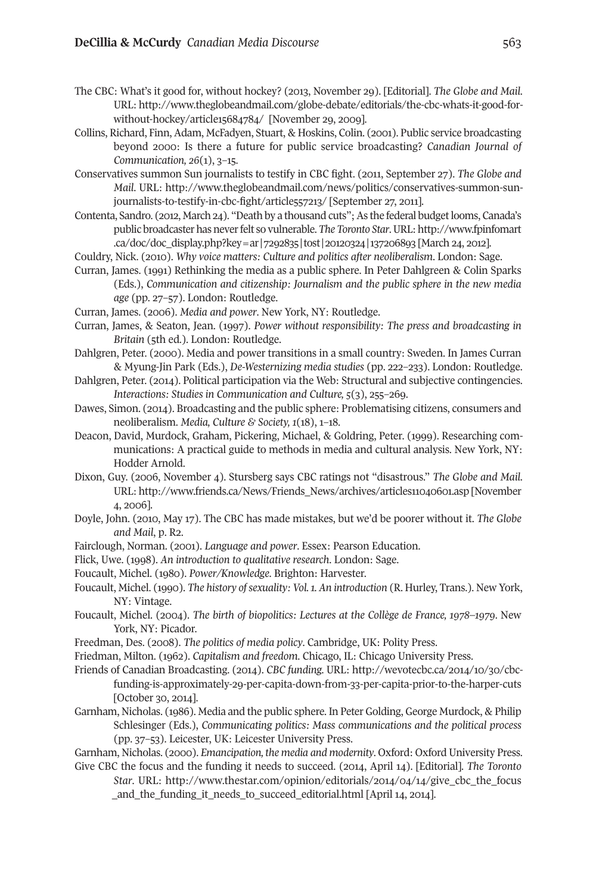the CBC: What's it good for, without hockey? (2013, November 29). [Editorial]. *The Globe and Mail*. UrL: [http://www.theglobeandmail.com/globe-debate/editorials/the-cbc-whats-it-good-for](http://www.theglobeandmail.com/globe-debate/editorials/the-cbc-whats-it-good-for-without-hockey/article15684784)[without-hockey/article15684784/](http://www.theglobeandmail.com/globe-debate/editorials/the-cbc-whats-it-good-for-without-hockey/article15684784) [November 29, 2009].

- Collins, Richard, Finn, Adam, McFadyen, Stuart, & Hoskins, Colin. (2001). Public service broadcasting beyond 2000: Is there a future for public service broadcasting? *Canadian Journal of Communication, 26*(1), 3–15.
- Conservatives summon sun journalists to testify in CBC fight. (2011, september 27). *The Globe and Mail*. UrL: [http://www.theglobeandmail.com/news/politics/conservatives-summon-sun](http://www.theglobeandmail.com/news/politics/conservatives-summon-sun-journalists-to-testify-in-cbc-fight/article557213/)[journalists-to-testify-in-cbc-fight/article557213/](http://www.theglobeandmail.com/news/politics/conservatives-summon-sun-journalists-to-testify-in-cbc-fight/article557213/) [September 27, 2011].
- Contenta, Sandro. (2012, March 24). "Death by a thousand cuts"; As the federal budget looms, Canada's public broadcaster has neverfelt so vulnerable. *The Toronto Star*.UrL: [http://www.fpinfomart](http://www.fpinfomart.ca/doc/doc_display.php?key=ar|7292835|tost|20120324|137206893) [.ca/doc/doc\\_display.php?key=ar|7292835|tost|20120324|137206893](http://www.fpinfomart.ca/doc/doc_display.php?key=ar|7292835|tost|20120324|137206893) [March 24, 2012].
- Couldry, Nick. (2010). *Why voice matters: Culture and politics after neoliberalism*. London: sage.
- Curran, James. (1991) Rethinking the media as a public sphere. In Peter Dahlgreen & Colin Sparks (Eds.), *Communication and citizenship: Journalism and the public sphere in the new media age* (pp. 27–57). London: Routledge.
- Curran, James. (2006). *Media and power*. New York, NY: routledge.
- Curran, James, & seaton, Jean. (1997). *Power without responsibility: The press and broadcasting in Britain* (5th ed.). London: Routledge.
- Dahlgren, Peter. (2000). Media and power transitions in a small country: sweden. In James Curran & Myung-Jin Park (Eds.), *De-Westernizing media studies* (pp. 222–233). London: routledge.
- Dahlgren, Peter. (2014). Political participation via the Web: structural and subjective contingencies. *Interactions: Studies in Communication and Culture, 5*(3), 255–269.
- Dawes, simon. (2014). Broadcasting and the public sphere: Problematising citizens, consumers and neoliberalism. *Media, Culture & Society, 1*(18), 1–18.
- Deacon, David, Murdock, Graham, Pickering, Michael, & Goldring, Peter. (1999). Researching communications: A practical guide to methods in media and cultural analysis. New York, NY: Hodder Arnold.
- Dixon, Guy. (2006, November 4). stursberg says CBC ratings not "disastrous." *The Globe and Mail*. UrL: [http://www.friends.ca/News/Friends\\_News/archives/articles11040601.asp](http://www.friends.ca/News/Friends_News/archives/articles11040601.asp) [November 4, 2006].
- Doyle, John. (2010, May 17). the CBC has made mistakes, but we'd be poorer without it. *The Globe and Mail*, *p. R2.*
- Fairclough, Norman. (2001). *Language and power*. Essex: Pearson Education.
- Flick, Uwe. (1998). *An introduction to qualitative research*. London: sage.
- Foucault, Michel. (1980). *Power/Knowledge*. Brighton: Harvester.
- Foucault, Michel. (1990). *The history ofsexuality: Vol.1. An introduction* (r. Hurley, trans.). New York, NY: Vintage.
- Foucault, Michel. (2004). *The birth of biopolitics: Lectures at the Collège de France, 1978–1979*. New York, NY: Picador.
- Freedman, Des. (2008). *The politics of media policy*. Cambridge, UK: Polity Press.
- Friedman, Milton. (1962). *Capitalism and freedom*. Chicago, IL: Chicago University Press.
- Friends of Canadian Broadcasting. (2014). *CBC funding.* UrL: [http://wevotecbc.ca/2014/10/30/cbc](http://wevotecbc.ca/2014/10/30/cbc-funding-is-approximately-29-per-capita-down-from-33-per-capita-prior-to-the-harper-cuts)[funding-is-approximately-29-per-capita-down-from-33-per-capita-prior-to-the-harper-cuts](http://wevotecbc.ca/2014/10/30/cbc-funding-is-approximately-29-per-capita-down-from-33-per-capita-prior-to-the-harper-cuts) [October 30, 2014].
- Garnham, Nicholas. (1986). Media and the public sphere. In Peter Golding, George Murdock, & Philip schlesinger (Eds.), *Communicating politics: Mass communications and the political process* (pp. 37–53). Leicester, UK: Leicester University Press.

Garnham, Nicholas. (2000). *Emancipation, the media and modernity*. Oxford: Oxford University Press. Give CBC the focus and the funding it needs to succeed. (2014, April 14). [Editorial]. *The Toronto*

*Star*. UrL: [http://www.thestar.com/opinion/editorials/2014/04/14/give\\_cbc\\_the\\_focus](http://www.thestar.com/opinion/editorials/2014/04/14/give_cbc_the_focus_and_the_funding_it_needs_to_succeed_editorial.html) [\\_and\\_the\\_funding\\_it\\_needs\\_to\\_succeed\\_editorial.html](http://www.thestar.com/opinion/editorials/2014/04/14/give_cbc_the_focus_and_the_funding_it_needs_to_succeed_editorial.html) [April 14, 2014].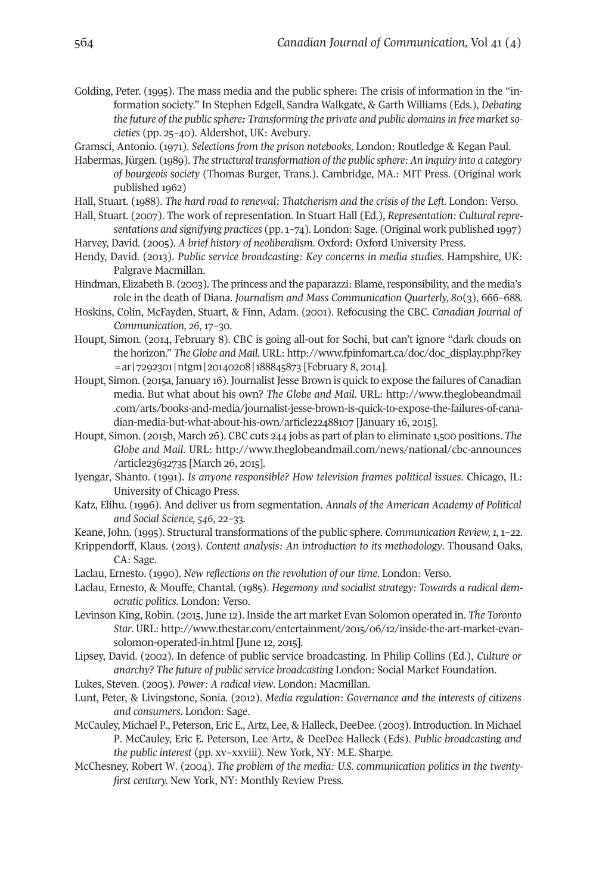Golding, Peter. (1995). The mass media and the public sphere: The crisis of information in the "information society." In stephen Edgell, sandra Walkgate, & Garth Williams (Eds.), *Debating the future of the public sphere: Transforming the private and public domainsin free marketsocieties* (pp. 25–40). Aldershot, UK: Avebury.

Gramsci, Antonio. (1971). *Selections from the prison notebooks*. London: routledge & Kegan Paul.

- Habermas, Jürgen. (1989). *The structural transformation of the public sphere: An inquiry into a category of bourgeois society* (thomas Burger, trans.). Cambridge, MA.: MIt Press. (Original work published 1962)
- Hall, stuart. (1988). *The hard road to renewal: Thatcherism and the crisis of the Left*. London: Verso.
- Hall, stuart. (2007). the work of representation. In stuart Hall (Ed.), *Representation: Cultural representations and signifying practices* (pp.1–74). London: sage. (Original work published 1997)
- Harvey, David. (2005). *A brief history of neoliberalism*. Oxford: Oxford University Press.
- Hendy, David. (2013). *Public service broadcasting: Key concerns in media studies*. Hampshire, UK: Palgrave Macmillan.
- Hindman, Elizabeth B. (2003). The princess and the paparazzi: Blame, responsibility, and the media's role in the death of Diana. *Journalism and Mass Communication Quarterly, 80*(3), 666–688.
- Hoskins, Colin, McFayden, stuart, & Finn, Adam. (2001). refocusing the CBC. *Canadian Journal of Communication, 26*, 17–30.
- Houpt, simon. (2014, February 8). CBC is going all-out for sochi, but can't ignore "dark clouds on the horizon." *The Globe and Mail*. UrL: [http://www.fpinfomart.ca/doc/doc\\_display.php?key](http://www.fpinfomart.ca/doc/doc_display.php?key=ar|7292301|ntgm|20140208|188845873) [=ar|7292301|ntgm|20140208|188845873](http://www.fpinfomart.ca/doc/doc_display.php?key=ar|7292301|ntgm|20140208|188845873) [February 8, 2014].
- Houpt, simon. (2015a, January 16). Journalist Jesse Brown is quick to expose the failures of Canadian media. But what about his own? *The Globe and Mail*. UrL: [http://www.theglobeandmail](http://www.theglobeandmail.com/arts/books-and-media/journalist-jesse-brown-is-quick-to-expose-the-failures-of-canadian-media-but-what-about-his-own/article22488107) [.com/arts/books-and-media/journalist-jesse-brown-is-quick-to-expose-the-failures-of-cana](http://www.theglobeandmail.com/arts/books-and-media/journalist-jesse-brown-is-quick-to-expose-the-failures-of-canadian-media-but-what-about-his-own/article22488107)[dian-media-but-what-about-his-own/article22488107](http://www.theglobeandmail.com/arts/books-and-media/journalist-jesse-brown-is-quick-to-expose-the-failures-of-canadian-media-but-what-about-his-own/article22488107) [January 16, 2015].
- Houpt, simon. (2015b, March 26). CBC cuts 244 jobs as part of plan to eliminate 1,500 positions. *The Globe and Mail*. UrL: [http://www.theglobeandmail.com/news/national/cbc-announces](http://www.theglobeandmail.com/news/national/cbc-announces/article23632735) [/article23632735](http://www.theglobeandmail.com/news/national/cbc-announces/article23632735) [March 26, 2015].
- Iyengar, shanto. (1991). *Is anyone responsible? How television frames political issues*. Chicago, IL: University of Chicago Press.
- Katz, Elihu. (1996). And deliver us from segmentation. *Annals of the American Academy of Political and Social Science, 546*, 22–33.
- Keane, John. (1995). structural transformations of the public sphere. *Communication Review, 1,* 1–22.
- Krippendorff, Klaus. (2013). *Content analysis: An introduction to its methodology*. thousand Oaks, CA: sage.
- Laclau, Ernesto. (1990). *New reflections on the revolution of our time*. London: Verso.
- Laclau, Ernesto, & Mouffe, Chantal. (1985). *Hegemony and socialist strategy: Towards a radical democratic politics*. London: Verso.
- Levinson King, Robin. (2015, June 12). Inside the art market Evan Solomon operated in. *The Toronto Star*. URL: [http://www.thestar.com/entertainment/2015/06/12/inside-the-art-market-evan](http://www.thestar.com/entertainment/2015/06/12/inside-the-art-market-evan-solomon-operated-in.html)[solomon-operated-in.html](http://www.thestar.com/entertainment/2015/06/12/inside-the-art-market-evan-solomon-operated-in.html) [June 12, 2015].
- Lipsey, David. (2002). In defence of public service broadcasting. In Philip Collins (Ed.), *Culture or anarchy? The future of public service broadcasting* London: social Market Foundation.
- Lukes, steven. (2005). *Power: A radical view*. London: Macmillan.
- Lunt, Peter, & Livingstone, sonia. (2012). *Media regulation: Governance and the interests of citizens and consumers*. London: sage.
- McCauley, Michael P., Peterson, Eric E., Artz, Lee, & Halleck, DeeDee. (2003). Introduction. In Michael P. McCauley, Eric E. Peterson, Lee Artz, & DeeDee Halleck (Eds). *Public broadcasting and the public interest* (pp. xv–xxviii). New York, NY: M.E. sharpe.
- McChesney, Robert W. (2004). The problem of the media: U.S. communication politics in the twentyfirst century. New York, NY: Monthly Review Press.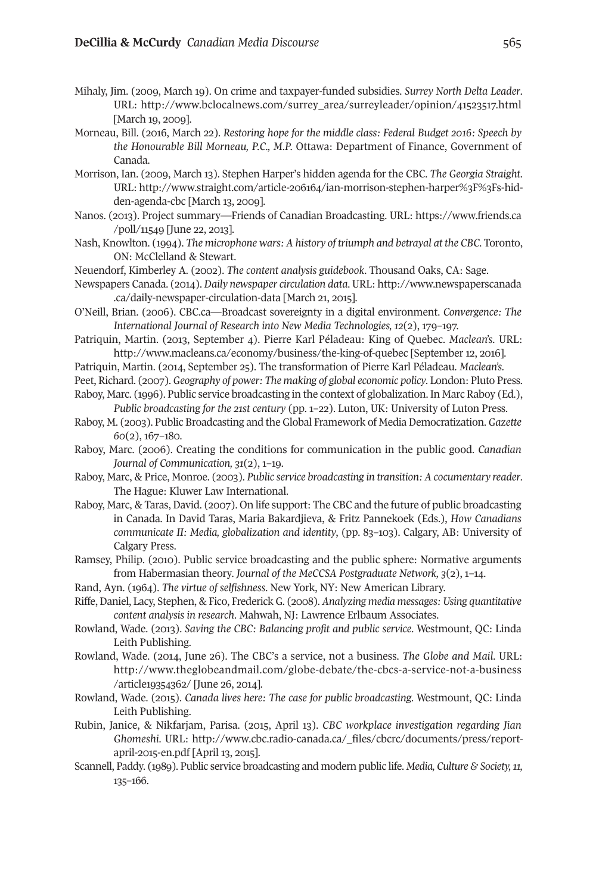- Mihaly, Jim. (2009, March 19). On crime and taxpayer-funded subsidies. *Surrey North Delta Leader*. UrL: [http://www.bclocalnews.com/surrey\\_area/surreyleader/opinion/41523517.html](http://www.bclocalnews.com/surrey_area/surreyleader/opinion/41523517.html) [March 19, 2009].
- Morneau, Bill. (2016, March 22). *Restoring hope for the middle class: Federal Budget 2016: Speech by the Honourable Bill Morneau, P.C., M.P.* Ottawa: Department of Finance, Government of Canada.
- Morrison, Ian. (2009, March 13). stephen Harper's hidden agenda for the CBC. *The Georgia Straight*. UrL: [http://www.straight.com/article-206164/ian-morrison-stephen-harper%3F%3Fs-hid](http://www.straight.com/article-206164/ian-morrison-stephen-harper%3F%3Fs-hidden-agenda-cbc)[den-agenda-cbc](http://www.straight.com/article-206164/ian-morrison-stephen-harper%3F%3Fs-hidden-agenda-cbc) [March 13, 2009].
- Nanos. (2013). Project summary—Friends of Canadian Broadcasting. UrL: [https://www.friends.ca](https://www.friends.ca/poll/11549) [/poll/11549](https://www.friends.ca/poll/11549) [June 22, 2013].
- Nash, Knowlton. (1994). *The microphone wars: A history of triumph and betrayal at the CBC*. toronto, ON: McClelland & stewart.
- Neuendorf, Kimberley A. (2002). *The content analysis guidebook*. thousand Oaks, CA: sage.
- Newspapers Canada. (2014). *Daily newspaper circulation data*. UrL: [http://www.newspaperscanada](http://www.newspaperscanada.ca/daily-newspaper-circulation-data) [.ca/daily-newspaper-circulation-data](http://www.newspaperscanada.ca/daily-newspaper-circulation-data) [March 21, 2015].
- O'Neill, Brian. (2006). CBC.ca—Broadcast sovereignty in a digital environment. *Convergence: The International Journal of Research into New Media Technologies, 12*(2), 179–197.
- Patriquin, Martin. (2013, september 4). Pierre Karl Péladeau: King of Quebec. *Maclean's*. UrL: <http://www.macleans.ca/economy/business/the-king-of-quebec> [september 12, 2016].
- Patriquin, Martin. (2014, september 25). the transformation of Pierre Karl Péladeau. *Maclean's*.
- Peet, Richard. (2007). *Geography of power: The making of global economic policy*. London: Pluto Press.
- Raboy, Marc. (1996). Public service broadcasting in the context of globalization. In Marc Raboy (Ed.), *Public broadcasting for the 21st century* (pp. 1–22). Luton, UK: University of Luton Press.
- raboy, M. (2003). Public Broadcasting and the Global Framework of Media Democratization. *Gazette 60*(2), 167–180.
- raboy, Marc. (2006). Creating the conditions for communication in the public good. *Canadian Journal of Communication, 31*(2), 1–19.
- raboy, Marc, & Price, Monroe. (2003). *Public service broadcasting in transition: A cocumentary reader*. The Hague: Kluwer Law International.
- Raboy, Marc, & Taras, David. (2007). On life support: The CBC and the future of public broadcasting in Canada. In David taras, Maria Bakardjieva, & Fritz Pannekoek (Eds.), *How Canadians communicate II: Media, globalization and identity*, (pp. 83–103). Calgary, AB: University of Calgary Press.
- Ramsey, Philip. (2010). Public service broadcasting and the public sphere: Normative arguments from Habermasian theory. *Journal of the MeCCSA Postgraduate Network, 3*(2), 1–14.
- rand, Ayn. (1964). *The virtue of selfishness*. New York, NY: New American Library.
- riffe, Daniel, Lacy, stephen, & Fico, Frederick G. (2008). *Analyzing media messages: Using quantitative content analysis in research*. Mahwah, NJ: Lawrence Erlbaum Associates.
- rowland, Wade. (2013). *Saving the CBC: Balancing profit and public service*. Westmount, QC: Linda Leith Publishing.
- rowland, Wade. (2014, June 26). the CBC's a service, not a business. *The Globe and Mail*. UrL: [http://www.theglobeandmail.com/globe-debate/the-cbcs-a-service-not-a-business](http://www.theglobeandmail.com/globe-debate/the-cbcs-a-service-not-a-business/article19354362) [/article19354362/](http://www.theglobeandmail.com/globe-debate/the-cbcs-a-service-not-a-business/article19354362) [June 26, 2014].
- rowland, Wade. (2015). *Canada lives here: The case for public broadcasting*. Westmount, QC: Linda Leith Publishing.
- rubin, Janice, & Nikfarjam, Parisa. (2015, April 13). *CBC workplace investigation regarding Jian Ghomeshi*. UrL: [http://www.cbc.radio-canada.ca/\\_files/cbcrc/documents/press/report](http://www.cbc.radio-canada.ca/_files/cbcrc/documents/press/report-april-2015-en.pdf)[april-2015-en.pdf](http://www.cbc.radio-canada.ca/_files/cbcrc/documents/press/report-april-2015-en.pdf) [April 13, 2015].
- scannell, Paddy. (1989). Public service broadcasting and modern public life. *Media, Culture & Society,11,* 135–166.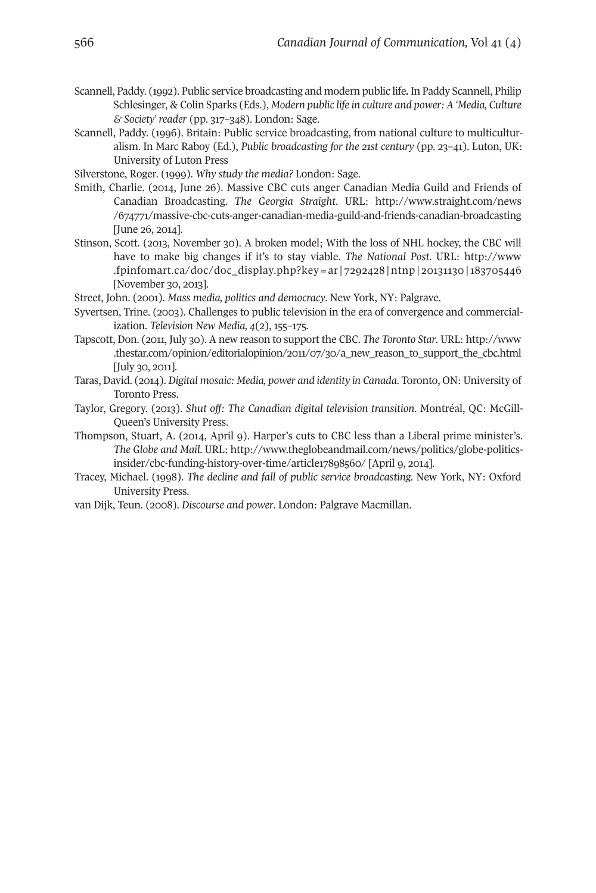- scannell, Paddy. (1992). Public service broadcasting and modern public life**.** In Paddy scannell, Philip schlesinger, & Colin sparks (Eds.), *Modern public life in culture and power: A 'Media, Culture & Society' reader* (pp. 317–348). London: sage.
- scannell, Paddy. (1996). Britain: Public service broadcasting, from national culture to multiculturalism. In Marc raboy (Ed.), *Public broadcasting for the 21st century* (pp. 23–41). Luton, UK: University of Luton Press

Silverstone, Roger. (1999). *Why study the media?* London: Sage.

- smith, Charlie. (2014, June 26). Massive CBC cuts anger Canadian Media Guild and Friends of Canadian Broadcasting. *The Georgia Straight*. UrL: [http://www.straight.com/news](http://www.straight.com/news/674771/massive-cbc-cuts-anger-canadian-media-guild-and-friends-canadian-broadcasting) [/674771/massive-cbc-cuts-anger-canadian-media-guild-and-friends-canadian-broadcasting](http://www.straight.com/news/674771/massive-cbc-cuts-anger-canadian-media-guild-and-friends-canadian-broadcasting) [June 26, 2014].
- stinson, scott. (2013, November 30). A broken model; With the loss of NHL hockey, the CBC will have to make big changes if it's to stay viable. *The National Post*. UrL: [http://www](http://www.fpinfomart.ca/doc/doc_display.php?key=ar|7292428|ntnp|20131130|183705446) [.fpinfomart.ca/doc/doc\\_display.php?key=ar|7292428|ntnp|20131130|183705446](http://www.fpinfomart.ca/doc/doc_display.php?key=ar|7292428|ntnp|20131130|183705446) [November 30, 2013].
- street, John. (2001). *Mass media, politics and democracy*. New York, NY: Palgrave.
- Syvertsen, Trine. (2003). Challenges to public television in the era of convergence and commercialization. *Television New Media, 4*(2), 155–175.
- tapscott, Don. (2011, July 30). A new reason to support the CBC. *The Toronto Star*. UrL: [http://www](http://www.thestar.com/opinion/editorialopinion/2011/07/30/a_new_reason_to_support_the_cbc.html) [.thestar.com/opinion/editorialopinion/2011/07/30/a\\_new\\_reason\\_to\\_support\\_the\\_cbc.html](http://www.thestar.com/opinion/editorialopinion/2011/07/30/a_new_reason_to_support_the_cbc.html) [July 30, 2011].
- taras, David. (2014). *Digital mosaic: Media, power and identity in Canada*. toronto, ON: University of Toronto Press.
- taylor, Gregory. (2013). *Shut off: The Canadian digital television transition*. Montréal, QC: McGill-Queen's University Press.
- thompson, stuart, A. (2014, April 9). Harper's cuts to CBC less than a Liberal prime minister's. *The Globe and Mail*. UrL: [http://www.theglobeandmail.com/news/politics/globe-politics](http://www.theglobeandmail.com/news/politics/globe-politics-insider/cbc-funding-history-over-time/article17898560/)[insider/cbc-funding-history-over-time/article17898560/](http://www.theglobeandmail.com/news/politics/globe-politics-insider/cbc-funding-history-over-time/article17898560/) [April 9, 2014].
- tracey, Michael. (1998). *The decline and fall of public service broadcasting.* New York, NY: Oxford University Press.
- van Dijk, teun. (2008). *Discourse and power*. London: Palgrave Macmillan.